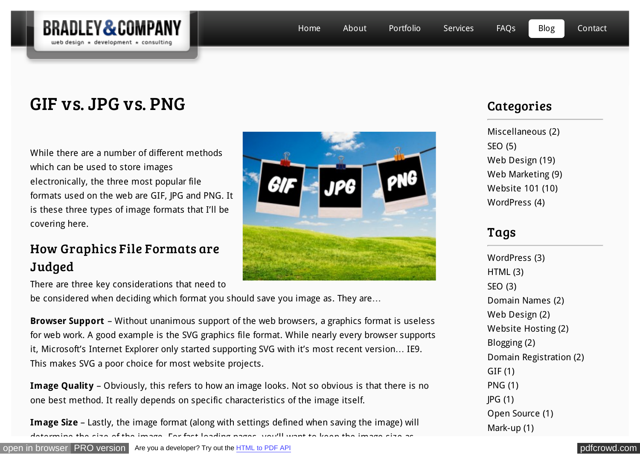

# GIF vs. JPG vs. PNG

While there are a number of different methods which can be used to store images electronically, the three most popular file formats used on the web are GIF, JPG and PNG. It is these three types of image formats that I'll be covering here.

# How Graphics File Formats are **Judged**

There are three key considerations that need to

be considered when deciding which format you should save you image as. They are…

**Browser Support** – Without unanimous support of the web browsers, a graphics format is useless for web work. A good example is the SVG graphics file format. While nearly every browser supports it, Microsoft's Internet Explorer only started supporting SVG with it's most recent version… IE9. This makes SVG a poor choice for most website projects.

**Image Quality** – Obviously, this refers to how an image looks. Not so obvious is that there is no one best method. It really depends on specific characteristics of the image itself.

**Image Size** – Lastly, the image format (along with settings defined when saving the image) will armine the size of the image. For fast loading pages, you'll want to keep the image



### **Categories**

[Miscellaneous \(2\)](http://bradleyandcompany.com/category/miscellaneous/) [SEO \(5\)](http://bradleyandcompany.com/category/seo/) [Web Design \(19\)](http://bradleyandcompany.com/category/web-design/) [Web Marketing \(9\)](http://bradleyandcompany.com/category/web-marketing/) [Website 101 \(10\)](http://bradleyandcompany.com/category/website-101/) [WordPress \(4\)](http://bradleyandcompany.com/category/wordpress/)

# Tags

[WordPress \(3\)](http://bradleyandcompany.com/tag/wordpress/) [HTML \(3\)](http://bradleyandcompany.com/tag/html/) [SEO \(3\)](http://bradleyandcompany.com/tag/seo/) [Domain Names \(2\)](http://bradleyandcompany.com/tag/domain-names/) [Web Design \(2\)](http://bradleyandcompany.com/tag/web-design/) [Website Hosting \(2\)](http://bradleyandcompany.com/tag/website-hosting/) [Blogging \(2\)](http://bradleyandcompany.com/tag/blogging/) [Domain Registration \(2\)](http://bradleyandcompany.com/tag/domain-registration/) [GIF \(1\)](http://bradleyandcompany.com/tag/gif/) [PNG \(1\)](http://bradleyandcompany.com/tag/png/) [JPG \(1\)](http://bradleyandcompany.com/tag/jpg/) [Open Source \(1\)](http://bradleyandcompany.com/tag/open-source/) [Mark-up \(1\)](http://bradleyandcompany.com/tag/mark-up/)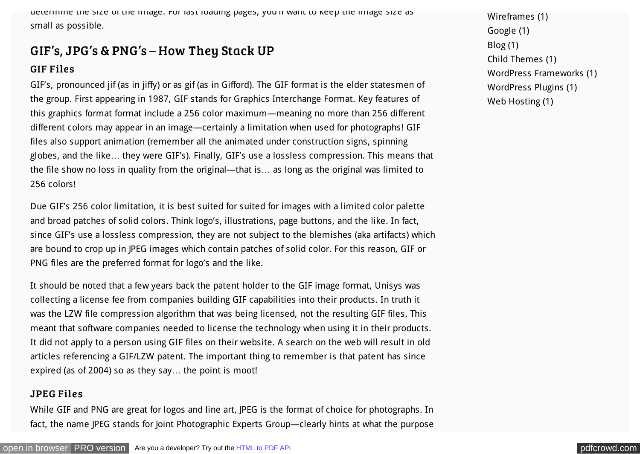determine the size of the image. For fast loading pages, you'll want to keep the image size as small as possible.

### GIF's, JPG's & PNG's – How They Stack UP

#### GIF Files

GIF's, pronounced jif (as in jiffy) or as gif (as in Gifford). The GIF format is the elder statesmen of the group. First appearing in 1987, GIF stands for Graphics Interchange Format. Key features of this graphics format format include a 256 color maximum—meaning no more than 256 different different colors may appear in an image—certainly a limitation when used for photographs! GIF files also support animation (remember all the animated under construction signs, spinning globes, and the like… they were GIF's). Finally, GIF's use a lossless compression. This means that the file show no loss in quality from the original—that is… as long as the original was limited to 256 colors!

Due GIF's 256 color limitation, it is best suited for suited for images with a limited color palette and broad patches of solid colors. Think logo's, illustrations, page buttons, and the like. In fact, since GIF's use a lossless compression, they are not subject to the blemishes (aka artifacts) which are bound to crop up in JPEG images which contain patches of solid color. For this reason, GIF or PNG files are the preferred format for logo's and the like.

It should be noted that a few years back the patent holder to the GIF image format, Unisys was collecting a license fee from companies building GIF capabilities into their products. In truth it was the LZW file compression algorithm that was being licensed, not the resulting GIF files. This meant that software companies needed to license the technology when using it in their products. It did not apply to a person using GIF files on their website. A search on the web will result in old articles referencing a GIF/LZW patent. The important thing to remember is that patent has since expired (as of 2004) so as they say… the point is moot!

#### JPEG Files

While GIF and PNG are great for logos and line art, JPEG is the format of choice for photographs. In fact, the name JPEG stands for Joint Photographic Experts Group—clearly hints at what the purpose [Wireframes \(1\)](http://bradleyandcompany.com/tag/wireframes/) [Google \(1\)](http://bradleyandcompany.com/tag/google/) [Blog \(1\)](http://bradleyandcompany.com/tag/blog/) [Child Themes \(1\)](http://bradleyandcompany.com/tag/child-themes/) [WordPress Frameworks \(1\)](http://bradleyandcompany.com/tag/wordpress-frameworks/) [WordPress Plugins \(1\)](http://bradleyandcompany.com/tag/wordpress-plugins/) [Web Hosting \(1\)](http://bradleyandcompany.com/tag/web-hosting/)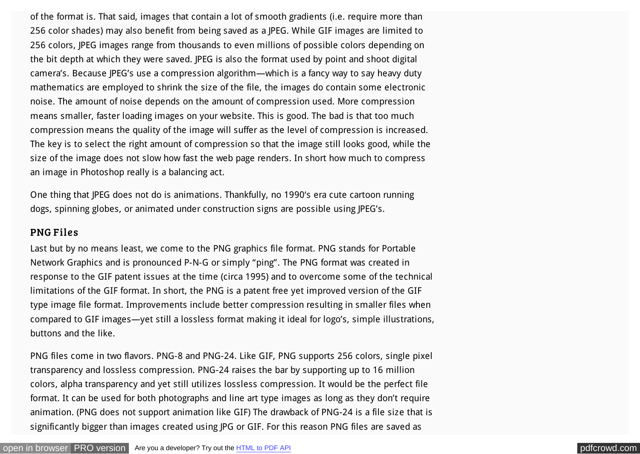of the format is. That said, images that contain a lot of smooth gradients (i.e. require more than 256 color shades) may also benefit from being saved as a JPEG. While GIF images are limited to 256 colors, JPEG images range from thousands to even millions of possible colors depending on the bit depth at which they were saved. JPEG is also the format used by point and shoot digital camera's. Because JPEG's use a compression algorithm—which is a fancy way to say heavy duty mathematics are employed to shrink the size of the file, the images do contain some electronic noise. The amount of noise depends on the amount of compression used. More compression means smaller, faster loading images on your website. This is good. The bad is that too much compression means the quality of the image will suffer as the level of compression is increased. The key is to select the right amount of compression so that the image still looks good, while the size of the image does not slow how fast the web page renders. In short how much to compress an image in Photoshop really is a balancing act.

One thing that JPEG does not do is animations. Thankfully, no 1990's era cute cartoon running dogs, spinning globes, or animated under construction signs are possible using JPEG's.

#### PNG Files

Last but by no means least, we come to the PNG graphics file format. PNG stands for Portable Network Graphics and is pronounced P-N-G or simply "ping". The PNG format was created in response to the GIF patent issues at the time (circa 1995) and to overcome some of the technical limitations of the GIF format. In short, the PNG is a patent free yet improved version of the GIF type image file format. Improvements include better compression resulting in smaller files when compared to GIF images—yet still a lossless format making it ideal for logo's, simple illustrations, buttons and the like.

PNG files come in two flavors. PNG-8 and PNG-24. Like GIF, PNG supports 256 colors, single pixel transparency and lossless compression. PNG-24 raises the bar by supporting up to 16 million colors, alpha transparency and yet still utilizes lossless compression. It would be the perfect file format. It can be used for both photographs and line art type images as long as they don't require animation. (PNG does not support animation like GIF) The drawback of PNG-24 is a file size that is significantly bigger than images created using JPG or GIF. For this reason PNG files are saved as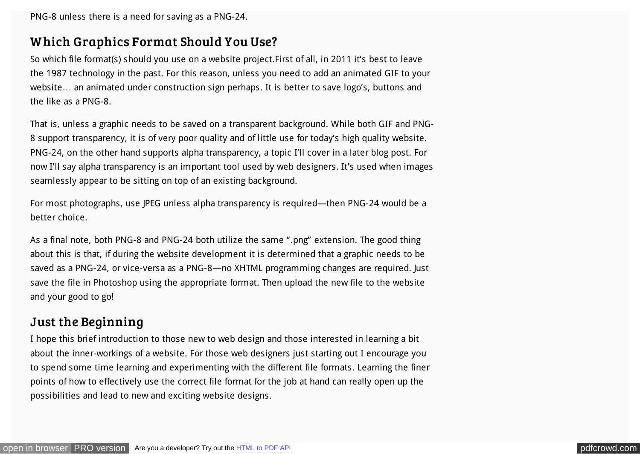PNG-8 unless there is a need for saving as a PNG-24.

### W hich Graphics Format Should You Use?

So which file format(s) should you use on a website project.First of all, in 2011 it's best to leave the 1987 technology in the past. For this reason, unless you need to add an animated GIF to your website… an animated under construction sign perhaps. It is better to save logo's, buttons and the like as a PNG-8.

That is, unless a graphic needs to be saved on a transparent background. While both GIF and PNG-8 support transparency, it is of very poor quality and of little use for today's high quality website. PNG-24, on the other hand supports alpha transparency, a topic I'll cover in a later blog post. For now I'll say alpha transparency is an important tool used by web designers. It's used when images seamlessly appear to be sitting on top of an existing background.

For most photographs, use JPEG unless alpha transparency is required—then PNG-24 would be a better choice.

As a final note, both PNG-8 and PNG-24 both utilize the same ".png" extension. The good thing about this is that, if during the website development it is determined that a graphic needs to be saved as a PNG-24, or vice-versa as a PNG-8—no XHTML programming changes are required. Just save the file in Photoshop using the appropriate format. Then upload the new file to the website and your good to go!

### Just the Beginning

I hope this brief introduction to those new to web design and those interested in learning a bit about the inner-workings of a website. For those web designers just starting out I encourage you to spend some time learning and experimenting with the different file formats. Learning the finer points of how to effectively use the correct file format for the job at hand can really open up the possibilities and lead to new and exciting website designs.